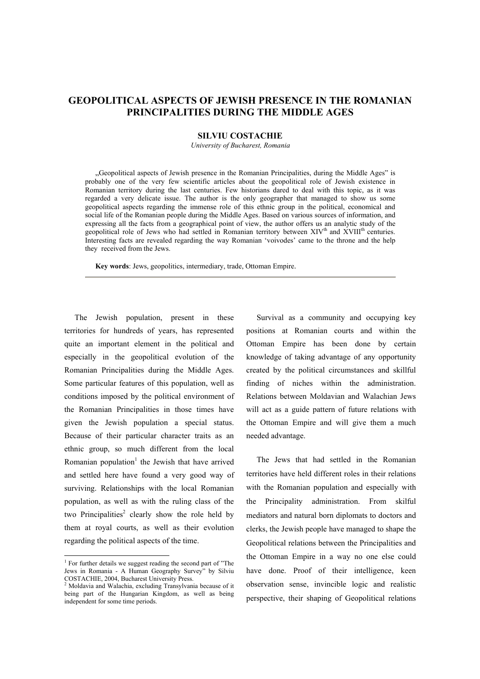## **GEOPOLITICAL ASPECTS OF JEWISH PRESENCE IN THE ROMANIAN PRINCIPALITIES DURING THE MIDDLE AGES**

## **SILVIU COSTACHIE**

*University of Bucharest, Romania*

Geopolitical aspects of Jewish presence in the Romanian Principalities, during the Middle Ages" is probably one of the very few scientific articles about the geopolitical role of Jewish existence in Romanian territory during the last centuries. Few historians dared to deal with this topic, as it was regarded a very delicate issue. The author is the only geographer that managed to show us some geopolitical aspects regarding the immense role of this ethnic group in the political, economical and social life of the Romanian people during the Middle Ages. Based on various sources of information, and expressing all the facts from a geographical point of view, the author offers us an analytic study of the geopolitical role of Jews who had settled in Romanian territory between XIV<sup>th</sup> and XVIII<sup>th</sup> centuries. Interesting facts are revealed regarding the way Romanian 'voivodes' came to the throne and the help they received from the Jews.

**Key words**: Jews, geopolitics, intermediary, trade, Ottoman Empire.

The Jewish population, present in these territories for hundreds of years, has represented quite an important element in the political and especially in the geopolitical evolution of the Romanian Principalities during the Middle Ages. Some particular features of this population, well as conditions imposed by the political environment of the Romanian Principalities in those times have given the Jewish population a special status. Because of their particular character traits as an ethnic group, so much different from the local Romanian population<sup>1</sup> the Jewish that have arrived and settled here have found a very good way of surviving. Relationships with the local Romanian population, as well as with the ruling class of the two Principalities<sup>2</sup> clearly show the role held by them at royal courts, as well as their evolution regarding the political aspects of the time.

l

Survival as a community and occupying key positions at Romanian courts and within the Ottoman Empire has been done by certain knowledge of taking advantage of any opportunity created by the political circumstances and skillful finding of niches within the administration. Relations between Moldavian and Walachian Jews will act as a guide pattern of future relations with the Ottoman Empire and will give them a much needed advantage.

The Jews that had settled in the Romanian territories have held different roles in their relations with the Romanian population and especially with the Principality administration. From skilful mediators and natural born diplomats to doctors and clerks, the Jewish people have managed to shape the Geopolitical relations between the Principalities and the Ottoman Empire in a way no one else could have done. Proof of their intelligence, keen observation sense, invincible logic and realistic perspective, their shaping of Geopolitical relations

<sup>&</sup>lt;sup>1</sup> For further details we suggest reading the second part of "The Jews in Romania - A Human Geography Survey" by Silviu COSTACHIE, 2004, Bucharest University Press. 2 Moldavia and Walachia, excluding Transylvania because of it

being part of the Hungarian Kingdom, as well as being independent for some time periods.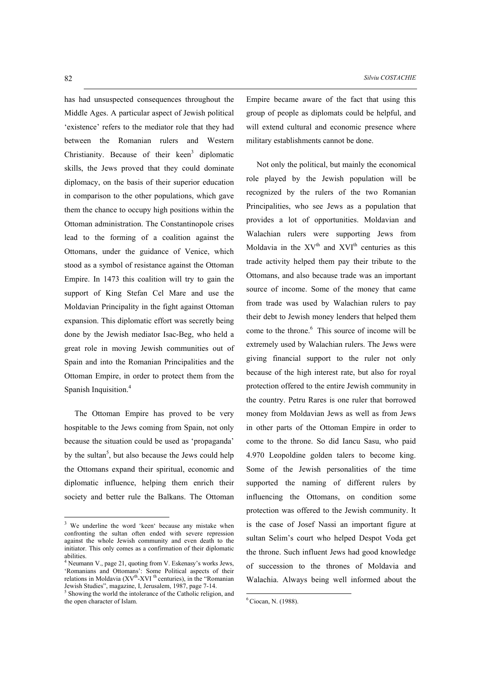has had unsuspected consequences throughout the Middle Ages. A particular aspect of Jewish political 'existence' refers to the mediator role that they had between the Romanian rulers and Western Christianity. Because of their keen<sup>3</sup> diplomatic skills, the Jews proved that they could dominate diplomacy, on the basis of their superior education in comparison to the other populations, which gave them the chance to occupy high positions within the Ottoman administration. The Constantinopole crises lead to the forming of a coalition against the Ottomans, under the guidance of Venice, which stood as a symbol of resistance against the Ottoman Empire. In 1473 this coalition will try to gain the support of King Stefan Cel Mare and use the Moldavian Principality in the fight against Ottoman expansion. This diplomatic effort was secretly being done by the Jewish mediator Isac-Beg, who held a great role in moving Jewish communities out of Spain and into the Romanian Principalities and the Ottoman Empire, in order to protect them from the Spanish Inquisition.<sup>4</sup>

The Ottoman Empire has proved to be very hospitable to the Jews coming from Spain, not only because the situation could be used as 'propaganda' by the sultan<sup>5</sup>, but also because the Jews could help the Ottomans expand their spiritual, economic and diplomatic influence, helping them enrich their society and better rule the Balkans. The Ottoman

l

Empire became aware of the fact that using this group of people as diplomats could be helpful, and will extend cultural and economic presence where military establishments cannot be done.

Not only the political, but mainly the economical role played by the Jewish population will be recognized by the rulers of the two Romanian Principalities, who see Jews as a population that provides a lot of opportunities. Moldavian and Walachian rulers were supporting Jews from Moldavia in the  $XV^{th}$  and  $XVI^{th}$  centuries as this trade activity helped them pay their tribute to the Ottomans, and also because trade was an important source of income. Some of the money that came from trade was used by Walachian rulers to pay their debt to Jewish money lenders that helped them come to the throne.<sup>6</sup> This source of income will be extremely used by Walachian rulers. The Jews were giving financial support to the ruler not only because of the high interest rate, but also for royal protection offered to the entire Jewish community in the country. Petru Rares is one ruler that borrowed money from Moldavian Jews as well as from Jews in other parts of the Ottoman Empire in order to come to the throne. So did Iancu Sasu, who paid 4.970 Leopoldine golden talers to become king. Some of the Jewish personalities of the time supported the naming of different rulers by influencing the Ottomans, on condition some protection was offered to the Jewish community. It is the case of Josef Nassi an important figure at sultan Selim's court who helped Despot Voda get the throne. Such influent Jews had good knowledge of succession to the thrones of Moldavia and Walachia. Always being well informed about the

l

 $3$  We underline the word 'keen' because any mistake when confronting the sultan often ended with severe repression against the whole Jewish community and even death to the initiator. This only comes as a confirmation of their diplomatic abilities.

<sup>&</sup>lt;sup>4</sup> Neumann V., page 21, quoting from V. Eskenasy's works Jews, 'Romanians and Ottomans': Some Political aspects of their relations in Moldavia  $(XV<sup>th</sup>-XVI<sup>th</sup>$  centuries), in the "Romanian Jewish Studies", magazine, I, Jerusalem, 1987, page 7-14.

 $\delta$  Showing the world the intolerance of the Catholic religion, and the open character of Islam.

<sup>6</sup> Ciocan, N. (1988).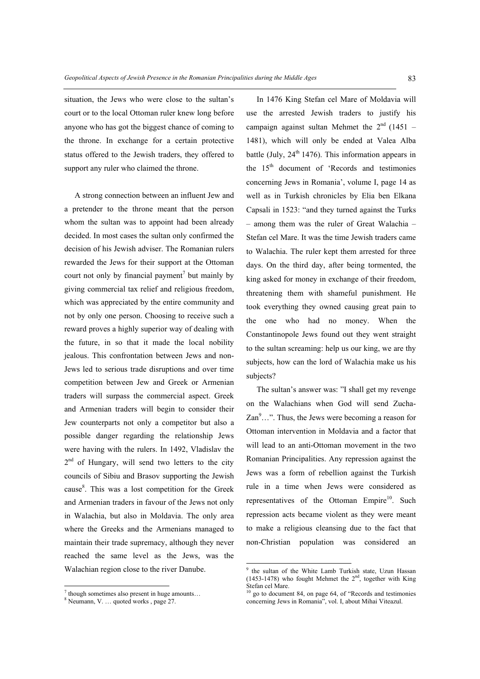situation, the Jews who were close to the sultan's court or to the local Ottoman ruler knew long before anyone who has got the biggest chance of coming to the throne. In exchange for a certain protective status offered to the Jewish traders, they offered to support any ruler who claimed the throne.

A strong connection between an influent Jew and a pretender to the throne meant that the person whom the sultan was to appoint had been already decided. In most cases the sultan only confirmed the decision of his Jewish adviser. The Romanian rulers rewarded the Jews for their support at the Ottoman court not only by financial payment<sup>7</sup> but mainly by giving commercial tax relief and religious freedom, which was appreciated by the entire community and not by only one person. Choosing to receive such a reward proves a highly superior way of dealing with the future, in so that it made the local nobility jealous. This confrontation between Jews and non-Jews led to serious trade disruptions and over time competition between Jew and Greek or Armenian traders will surpass the commercial aspect. Greek and Armenian traders will begin to consider their Jew counterparts not only a competitor but also a possible danger regarding the relationship Jews were having with the rulers. In 1492, Vladislav the  $2<sup>nd</sup>$  of Hungary, will send two letters to the city councils of Sibiu and Brasov supporting the Jewish cause<sup>8</sup>. This was a lost competition for the Greek and Armenian traders in favour of the Jews not only in Walachia, but also in Moldavia. The only area where the Greeks and the Armenians managed to maintain their trade supremacy, although they never reached the same level as the Jews, was the Walachian region close to the river Danube.

l

In 1476 King Stefan cel Mare of Moldavia will use the arrested Jewish traders to justify his campaign against sultan Mehmet the  $2<sup>nd</sup>$  (1451 – 1481), which will only be ended at Valea Alba battle (July,  $24<sup>th</sup> 1476$ ). This information appears in the  $15<sup>th</sup>$  document of 'Records and testimonies concerning Jews in Romania', volume I, page 14 as well as in Turkish chronicles by Elia ben Elkana Capsali in 1523: "and they turned against the Turks - among them was the ruler of Great Walachia -Stefan cel Mare. It was the time Jewish traders came to Walachia. The ruler kept them arrested for three days. On the third day, after being tormented, the king asked for money in exchange of their freedom, threatening them with shameful punishment. He took everything they owned causing great pain to the one who had no money. When the Constantinopole Jews found out they went straight to the sultan screaming: help us our king, we are thy subjects, how can the lord of Walachia make us his subjects?

The sultan's answer was: "I shall get my revenge on the Walachians when God will send Zucha- $\text{Zan}^9 \dots$ ". Thus, the Jews were becoming a reason for Ottoman intervention in Moldavia and a factor that will lead to an anti-Ottoman movement in the two Romanian Principalities. Any repression against the Jews was a form of rebellion against the Turkish rule in a time when Jews were considered as representatives of the Ottoman Empire<sup>10</sup>. Such repression acts became violent as they were meant to make a religious cleansing due to the fact that non-Christian population was considered an

 $7$  though sometimes also present in huge amounts...

<sup>&</sup>lt;sup>8</sup> Neumann, V. ... quoted works, page 27.

<sup>&</sup>lt;sup>9</sup> the sultan of the White Lamb Turkish state, Uzun Hassan (1453-1478) who fought Mehmet the 2<sup>nd</sup>, together with King Stefan cel Mare.

 $10$  go to document 84, on page 64, of "Records and testimonies concerning Jews in Romania", vol. I, about Mihai Viteazul.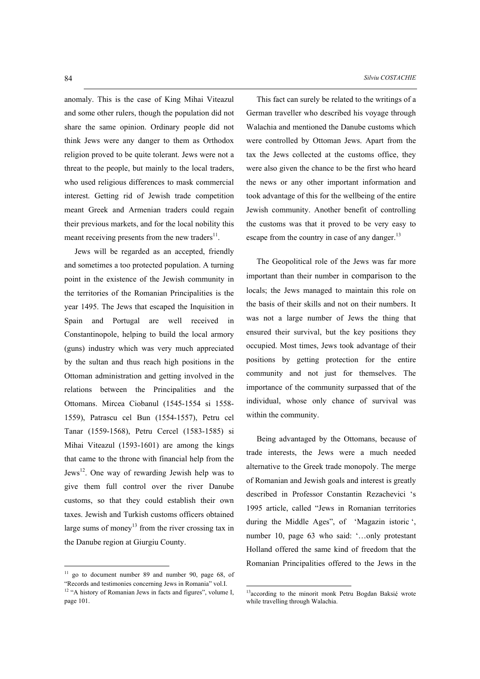anomaly. This is the case of King Mihai Viteazul and some other rulers, though the population did not share the same opinion. Ordinary people did not think Jews were any danger to them as Orthodox religion proved to be quite tolerant. Jews were not a threat to the people, but mainly to the local traders, who used religious differences to mask commercial interest. Getting rid of Jewish trade competition meant Greek and Armenian traders could regain their previous markets, and for the local nobility this meant receiving presents from the new traders $^{11}$ .

Jews will be regarded as an accepted, friendly and sometimes a too protected population. A turning point in the existence of the Jewish community in the territories of the Romanian Principalities is the year 1495. The Jews that escaped the Inquisition in Spain and Portugal are well received in Constantinopole, helping to build the local armory (guns) industry which was very much appreciated by the sultan and thus reach high positions in the Ottoman administration and getting involved in the relations between the Principalities and the Ottomans. Mircea Ciobanul (1545-1554 si 1558- 1559), Patrascu cel Bun (1554-1557), Petru cel Tanar (1559-1568), Petru Cercel (1583-1585) si Mihai Viteazul (1593-1601) are among the kings that came to the throne with financial help from the Jews<sup>12</sup>. One way of rewarding Jewish help was to give them full control over the river Danube customs, so that they could establish their own taxes. Jewish and Turkish customs officers obtained large sums of money<sup>13</sup> from the river crossing tax in the Danube region at Giurgiu County.

 $11$  go to document number 89 and number 90, page 68, of "Records and testimonies concerning Jews in Romania" vol.I.

l

This fact can surely be related to the writings of a German traveller who described his voyage through Walachia and mentioned the Danube customs which were controlled by Ottoman Jews. Apart from the tax the Jews collected at the customs office, they were also given the chance to be the first who heard the news or any other important information and took advantage of this for the wellbeing of the entire Jewish community. Another benefit of controlling the customs was that it proved to be very easy to escape from the country in case of any danger. $^{13}$ 

The Geopolitical role of the Jews was far more important than their number in comparison to the locals; the Jews managed to maintain this role on the basis of their skills and not on their numbers. It was not a large number of Jews the thing that ensured their survival, but the key positions they occupied. Most times, Jews took advantage of their positions by getting protection for the entire community and not just for themselves. The importance of the community surpassed that of the individual, whose only chance of survival was within the community.

Being advantaged by the Ottomans, because of trade interests, the Jews were a much needed alternative to the Greek trade monopoly. The merge of Romanian and Jewish goals and interest is greatly described in Professor Constantin Rezachevici 's 1995 article, called "Jews in Romanian territories during the Middle Ages", of 'Magazin istoric', number 10, page  $63$  who said:  $\dots$  only protestant Holland offered the same kind of freedom that the Romanian Principalities offered to the Jews in the

<sup>13</sup>according to the minorit monk Petru Bogdan Baksić wrote while travelling through Walachia.

l

<sup>&</sup>lt;sup>12</sup> "A history of Romanian Jews in facts and figures", volume I, page 101.